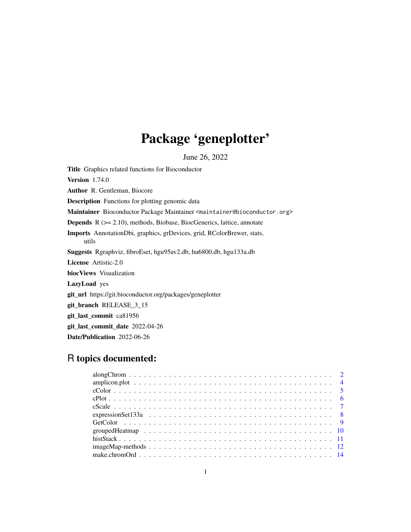# Package 'geneplotter'

June 26, 2022

<span id="page-0-0"></span>Title Graphics related functions for Bioconductor Version 1.74.0 Author R. Gentleman, Biocore Description Functions for plotting genomic data Maintainer Bioconductor Package Maintainer <maintainer@bioconductor.org> Depends R (>= 2.10), methods, Biobase, BiocGenerics, lattice, annotate Imports AnnotationDbi, graphics, grDevices, grid, RColorBrewer, stats, utils Suggests Rgraphviz, fibroEset, hgu95av2.db, hu6800.db, hgu133a.db License Artistic-2.0 biocViews Visualization LazyLoad yes git\_url https://git.bioconductor.org/packages/geneplotter git\_branch RELEASE\_3\_15 git\_last\_commit ca81956 git\_last\_commit\_date 2022-04-26 Date/Publication 2022-06-26

## R topics documented: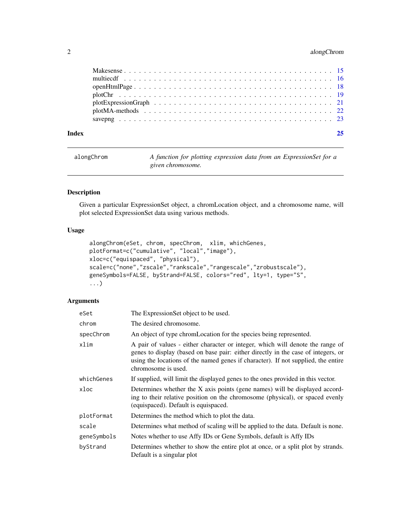## <span id="page-1-0"></span>2 along Chrom

alongChrom *A function for plotting expression data from an ExpressionSet for a given chromosome.*

## Description

Given a particular ExpressionSet object, a chromLocation object, and a chromosome name, will plot selected ExpressionSet data using various methods.

## Usage

```
alongChrom(eSet, chrom, specChrom, xlim, whichGenes,
plotFormat=c("cumulative", "local","image"),
xloc=c("equispaced", "physical"),
scale=c("none","zscale","rankscale","rangescale","zrobustscale"),
geneSymbols=FALSE, byStrand=FALSE, colors="red", lty=1, type="S",
...)
```
## Arguments

| eSet        | The ExpressionSet object to be used.                                                                                                                                                                                                                                            |
|-------------|---------------------------------------------------------------------------------------------------------------------------------------------------------------------------------------------------------------------------------------------------------------------------------|
| chrom       | The desired chromosome.                                                                                                                                                                                                                                                         |
| specChrom   | An object of type chromLocation for the species being represented.                                                                                                                                                                                                              |
| xlim        | A pair of values - either character or integer, which will denote the range of<br>genes to display (based on base pair: either directly in the case of integers, or<br>using the locations of the named genes if character). If not supplied, the entire<br>chromosome is used. |
| whichGenes  | If supplied, will limit the displayed genes to the ones provided in this vector.                                                                                                                                                                                                |
| xloc        | Determines whether the X axis points (gene names) will be displayed accord-<br>ing to their relative position on the chromosome (physical), or spaced evenly<br>(equispaced). Default is equispaced.                                                                            |
| plotFormat  | Determines the method which to plot the data.                                                                                                                                                                                                                                   |
| scale       | Determines what method of scaling will be applied to the data. Default is none.                                                                                                                                                                                                 |
| geneSymbols | Notes whether to use Affy IDs or Gene Symbols, default is Affy IDs                                                                                                                                                                                                              |
| byStrand    | Determines whether to show the entire plot at once, or a split plot by strands.<br>Default is a singular plot                                                                                                                                                                   |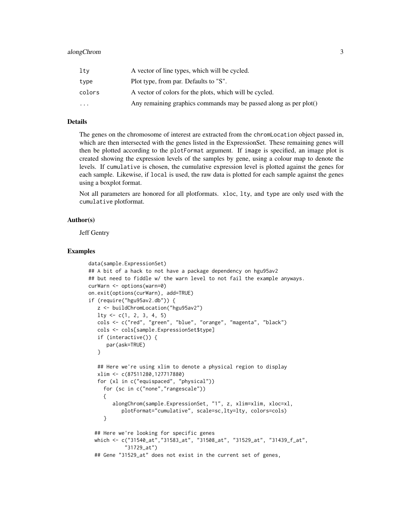| lty      | A vector of line types, which will be cycled.                     |
|----------|-------------------------------------------------------------------|
| type     | Plot type, from par. Defaults to "S".                             |
| colors   | A vector of colors for the plots, which will be cycled.           |
| $\cdots$ | Any remaining graphics commands may be passed along as per plot() |

## Details

The genes on the chromosome of interest are extracted from the chromLocation object passed in, which are then intersected with the genes listed in the ExpressionSet. These remaining genes will then be plotted according to the plotFormat argument. If image is specified, an image plot is created showing the expression levels of the samples by gene, using a colour map to denote the levels. If cumulative is chosen, the cumulative expression level is plotted against the genes for each sample. Likewise, if local is used, the raw data is plotted for each sample against the genes using a boxplot format.

Not all parameters are honored for all plotformats. xloc, lty, and type are only used with the cumulative plotformat.

## Author(s)

Jeff Gentry

#### Examples

```
data(sample.ExpressionSet)
## A bit of a hack to not have a package dependency on hgu95av2
## but need to fiddle w/ the warn level to not fail the example anyways.
curWarn <- options(warn=0)
on.exit(options(curWarn), add=TRUE)
if (require("hgu95av2.db")) {
   z <- buildChromLocation("hgu95av2")
   lty <- c(1, 2, 3, 4, 5)
   cols <- c("red", "green", "blue", "orange", "magenta", "black")
   cols <- cols[sample.ExpressionSet$type]
   if (interactive()) {
      par(ask=TRUE)
   }
   ## Here we're using xlim to denote a physical region to display
   xlim <- c(87511280,127717880)
   for (xl in c("equispaced", "physical"))
     for (sc in c("none","rangescale"))
     {
        alongChrom(sample.ExpressionSet, "1", z, xlim=xlim, xloc=xl,
           plotFormat="cumulative", scale=sc,lty=lty, colors=cols)
     }
  ## Here we're looking for specific genes
  which <- c("31540_at","31583_at", "31508_at", "31529_at", "31439_f_at",
            "31729_at")
  ## Gene "31529_at" does not exist in the current set of genes,
```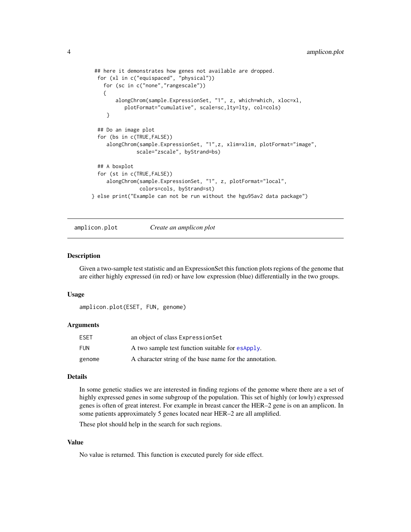```
## here it demonstrates how genes not available are dropped.
 for (xl in c("equispaced", "physical"))
   for (sc in c("none","rangescale"))
   {
        alongChrom(sample.ExpressionSet, "1", z, which=which, xloc=xl,
           plotFormat="cumulative", scale=sc,lty=lty, col=cols)
     }
  ## Do an image plot
  for (bs in c(TRUE,FALSE))
     alongChrom(sample.ExpressionSet, "1",z, xlim=xlim, plotFormat="image",
               scale="zscale", byStrand=bs)
  ## A boxplot
  for (st in c(TRUE,FALSE))
     alongChrom(sample.ExpressionSet, "1", z, plotFormat="local",
                colors=cols, byStrand=st)
} else print("Example can not be run without the hgu95av2 data package")
```

```
amplicon.plot Create an amplicon plot
```
## **Description**

Given a two-sample test statistic and an ExpressionSet this function plots regions of the genome that are either highly expressed (in red) or have low expression (blue) differentially in the two groups.

#### Usage

```
amplicon.plot(ESET, FUN, genome)
```
## Arguments

| <b>ESET</b> | an object of class ExpressionSet                        |
|-------------|---------------------------------------------------------|
| <b>FUN</b>  | A two sample test function suitable for esapply.        |
| genome      | A character string of the base name for the annotation. |

## Details

In some genetic studies we are interested in finding regions of the genome where there are a set of highly expressed genes in some subgroup of the population. This set of highly (or lowly) expressed genes is often of great interest. For example in breast cancer the HER–2 gene is on an amplicon. In some patients approximately 5 genes located near HER–2 are all amplified.

These plot should help in the search for such regions.

#### Value

No value is returned. This function is executed purely for side effect.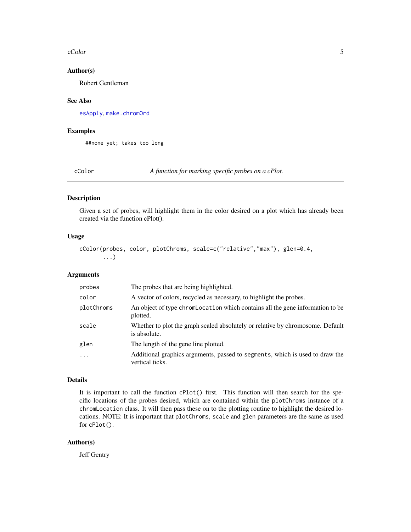#### <span id="page-4-0"></span>cColor 5

#### Author(s)

Robert Gentleman

#### See Also

[esApply](#page-0-0), [make.chromOrd](#page-13-1)

#### Examples

##none yet; takes too long

<span id="page-4-1"></span>cColor *A function for marking specific probes on a cPlot.*

#### Description

Given a set of probes, will highlight them in the color desired on a plot which has already been created via the function cPlot().

## Usage

```
cColor(probes, color, plotChroms, scale=c("relative","max"), glen=0.4,
       ...)
```
#### Arguments

| probes     | The probes that are being highlighted.                                                          |
|------------|-------------------------------------------------------------------------------------------------|
| color      | A vector of colors, recycled as necessary, to highlight the probes.                             |
| plotChroms | An object of type chromLocation which contains all the gene information to be<br>plotted.       |
| scale      | Whether to plot the graph scaled absolutely or relative by chromosome. Default<br>is absolute.  |
| glen       | The length of the gene line plotted.                                                            |
| .          | Additional graphics arguments, passed to segments, which is used to draw the<br>vertical ticks. |

## Details

It is important to call the function cPlot() first. This function will then search for the specific locations of the probes desired, which are contained within the plotChroms instance of a chromLocation class. It will then pass these on to the plotting routine to highlight the desired locations. NOTE: It is important that plotChroms, scale and glen parameters are the same as used for cPlot().

## Author(s)

Jeff Gentry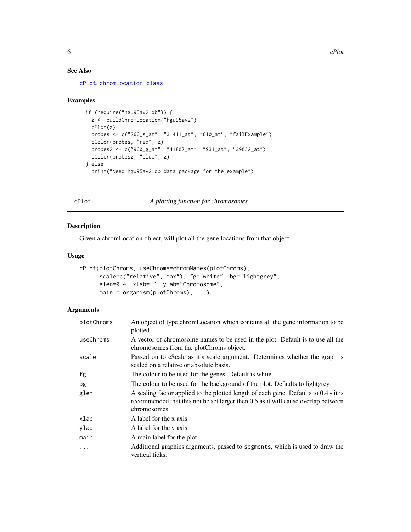## See Also

[cPlot](#page-5-1), [chromLocation-class](#page-0-0)

#### Examples

```
if (require("hgu95av2.db")) {
 z <- buildChromLocation("hgu95av2")
 cPlot(z)
 probes <- c("266_s_at", "31411_at", "610_at", "failExample")
 cColor(probes, "red", z)
 probes2 <- c("960_g_at", "41807_at", "931_at", "39032_at")
 cColor(probes2, "blue", z)
} else
 print("Need hgu95av2.db data package for the example")
```
<span id="page-5-1"></span>cPlot *A plotting function for chromosomes.*

## Description

Given a chromLocation object, will plot all the gene locations from that object.

## Usage

```
cPlot(plotChroms, useChroms=chromNames(plotChroms),
      scale=c("relative","max"), fg="white", bg="lightgrey",
      glen=0.4, xlab="", ylab="Chromosome",
     main = organism(plotChroms), ...)
```
## Arguments

| plotChroms | An object of type chromLocation which contains all the gene information to be<br>plotted.                                                                                                 |
|------------|-------------------------------------------------------------------------------------------------------------------------------------------------------------------------------------------|
| useChroms  | A vector of chromosome names to be used in the plot. Default is to use all the<br>chromosomes from the plotChroms object.                                                                 |
| scale      | Passed on to cScale as it's scale argument. Determines whether the graph is<br>scaled on a relative or absolute basis.                                                                    |
| fg         | The colour to be used for the genes. Default is white.                                                                                                                                    |
| bg         | The colour to be used for the background of the plot. Defaults to lightgrey.                                                                                                              |
| glen       | A scaling factor applied to the plotted length of each gene. Defaults to 0.4 - it is<br>recommended that this not be set larger then 0.5 as it will cause overlap between<br>chromosomes. |
| xlab       | A label for the x axis.                                                                                                                                                                   |
| ylab       | A label for the y axis.                                                                                                                                                                   |
| main       | A main label for the plot.                                                                                                                                                                |
| $\ddots$   | Additional graphics arguments, passed to segments, which is used to draw the<br>vertical ticks.                                                                                           |

<span id="page-5-0"></span>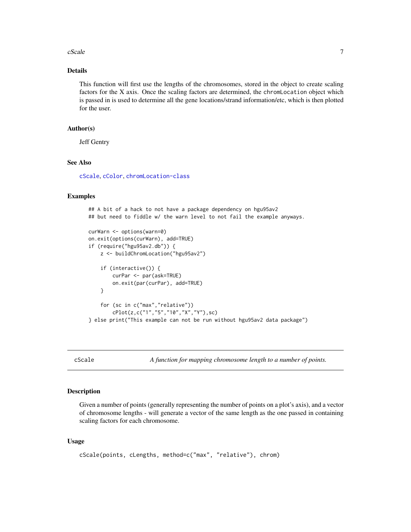#### <span id="page-6-0"></span> $cScale$   $\qquad \qquad$  7

## Details

This function will first use the lengths of the chromosomes, stored in the object to create scaling factors for the X axis. Once the scaling factors are determined, the chromLocation object which is passed in is used to determine all the gene locations/strand information/etc, which is then plotted for the user.

## Author(s)

Jeff Gentry

## See Also

[cScale](#page-6-1), [cColor](#page-4-1), [chromLocation-class](#page-0-0)

### Examples

```
## A bit of a hack to not have a package dependency on hgu95av2
## but need to fiddle w/ the warn level to not fail the example anyways.
curWarn <- options(warn=0)
on.exit(options(curWarn), add=TRUE)
if (require("hgu95av2.db")) {
    z <- buildChromLocation("hgu95av2")
    if (interactive()) {
        curPar <- par(ask=TRUE)
        on.exit(par(curPar), add=TRUE)
    }
    for (sc in c("max","relative"))
        cPlot(z,c("1","5","10","X","Y"),sc)
} else print("This example can not be run without hgu95av2 data package")
```
<span id="page-6-1"></span>

cScale *A function for mapping chromosome length to a number of points.*

## **Description**

Given a number of points (generally representing the number of points on a plot's axis), and a vector of chromosome lengths - will generate a vector of the same length as the one passed in containing scaling factors for each chromosome.

#### Usage

```
cScale(points, cLengths, method=c("max", "relative"), chrom)
```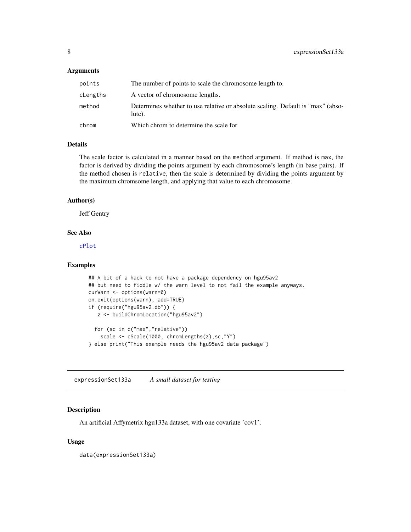#### <span id="page-7-0"></span>**Arguments**

| points   | The number of points to scale the chromosome length to.                                   |
|----------|-------------------------------------------------------------------------------------------|
| cLengths | A vector of chromosome lengths.                                                           |
| method   | Determines whether to use relative or absolute scaling. Default is "max" (abso-<br>lute). |
| chrom    | Which chrom to determine the scale for                                                    |

## Details

The scale factor is calculated in a manner based on the method argument. If method is max, the factor is derived by dividing the points argument by each chromosome's length (in base pairs). If the method chosen is relative, then the scale is determined by dividing the points argument by the maximum chromsome length, and applying that value to each chromosome.

#### Author(s)

Jeff Gentry

#### See Also

[cPlot](#page-5-1)

#### Examples

```
## A bit of a hack to not have a package dependency on hgu95av2
## but need to fiddle w/ the warn level to not fail the example anyways.
curWarn <- options(warn=0)
on.exit(options(warn), add=TRUE)
if (require("hgu95av2.db")) {
   z <- buildChromLocation("hgu95av2")
  for (sc in c("max","relative"))
    scale <- cScale(1000, chromLengths(z),sc,"Y")
} else print("This example needs the hgu95av2 data package")
```
expressionSet133a *A small dataset for testing*

## Description

An artificial Affymetrix hgu133a dataset, with one covariate 'cov1'.

### Usage

data(expressionSet133a)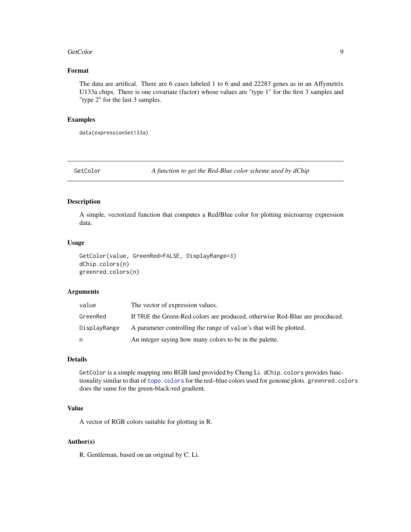#### <span id="page-8-0"></span>GetColor 9

## Format

The data are artifical. There are 6 cases labeled 1 to 6 and and 22283 genes as in an Affymetrix U133a chips. There is one covariate (factor) whose values are "type 1" for the first 3 samples and "type 2" for the last 3 samples.

### Examples

data(expressionSet133a)

GetColor *A function to get the Red-Blue color scheme used by dChip*

#### Description

A simple, vectorized function that computes a Red/Blue color for plotting microarray expression data.

#### Usage

```
GetColor(value, GreenRed=FALSE, DisplayRange=3)
dChip.colors(n)
greenred.colors(n)
```
#### Arguments

| value        | The vector of expression values.                                             |
|--------------|------------------------------------------------------------------------------|
| GreenRed     | If TRUE the Green-Red colors are produced, otherwise Red-Blue are procduced. |
| DisplayRange | A parameter controlling the range of value's that will be plotted.           |
| n            | An integer saying how many colors to be in the palette.                      |

## Details

GetColor is a simple mapping into RGB land provided by Cheng Li. dChip.colors provides functionality similar to that of [topo.colors](#page-0-0) for the red–blue colors used for genome plots. greenred.colors does the same for the green-black-red gradient.

## Value

A vector of RGB colors suitable for plotting in R.

### Author(s)

R. Gentleman, based on an original by C. Li.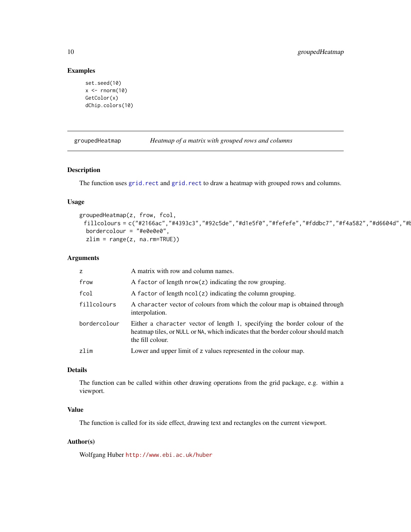## Examples

```
set.seed(10)
x \le- rnorm(10)
GetColor(x)
dChip.colors(10)
```
groupedHeatmap *Heatmap of a matrix with grouped rows and columns*

## Description

The function uses [grid.rect](#page-0-0) and grid.rect to draw a heatmap with grouped rows and columns.

## Usage

```
groupedHeatmap(z, frow, fcol,
 fillcolours = c("#2166ac","#4393c3","#92c5de","#d1e5f0","#fefefe","#fddbc7","#f4a582","#d6604d","#l
 bordercolour = "#e0e0e0",
 zlim = range(z, na.rm=TRUE))
```
## Arguments

| z            | A matrix with row and column names.                                                                                                                                                 |
|--------------|-------------------------------------------------------------------------------------------------------------------------------------------------------------------------------------|
| frow         | A factor of length $nrow(z)$ indicating the row grouping.                                                                                                                           |
| fcol         | A factor of length $ncol(z)$ indicating the column grouping.                                                                                                                        |
| fillcolours  | A character vector of colours from which the colour map is obtained through<br>interpolation.                                                                                       |
| bordercolour | Either a character vector of length 1, specifying the border colour of the<br>heatmap tiles, or NULL or NA, which indicates that the border colour should match<br>the fill colour. |
| zlim         | Lower and upper limit of z values represented in the colour map.                                                                                                                    |

## Details

The function can be called within other drawing operations from the grid package, e.g. within a viewport.

## Value

The function is called for its side effect, drawing text and rectangles on the current viewport.

### Author(s)

Wolfgang Huber <http://www.ebi.ac.uk/huber>

<span id="page-9-0"></span>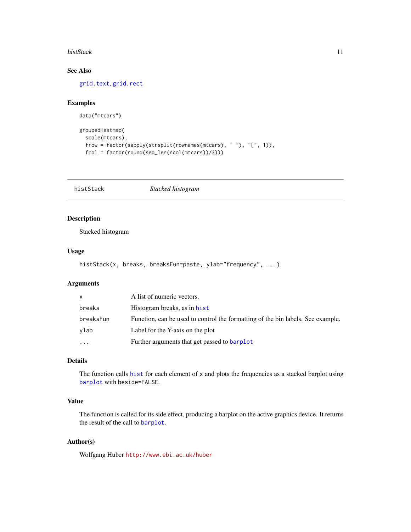#### <span id="page-10-0"></span>histStack 11

## See Also

[grid.text](#page-0-0), [grid.rect](#page-0-0)

## Examples

```
data("mtcars")
```

```
groupedHeatmap(
  scale(mtcars),
  frow = factor(sapply(strsplit(rownames(mtcars), " "), "[", 1)),
  fcol = factor(round(seq_len(ncol(mtcars))/3)))
```
histStack *Stacked histogram*

## Description

Stacked histogram

## Usage

```
histStack(x, breaks, breaksFun=paste, ylab="frequency", ...)
```
#### Arguments

| $\mathsf{x}$ | A list of numeric vectors.                                                      |
|--------------|---------------------------------------------------------------------------------|
| breaks       | Histogram breaks, as in hist                                                    |
| breaksFun    | Function, can be used to control the formatting of the bin labels. See example. |
| vlab         | Label for the Y-axis on the plot                                                |
| $\cdots$     | Further arguments that get passed to barplot                                    |

## Details

The function calls [hist](#page-0-0) for each element of x and plots the frequencies as a stacked barplot using [barplot](#page-0-0) with beside=FALSE.

## Value

The function is called for its side effect, producing a barplot on the active graphics device. It returns the result of the call to [barplot](#page-0-0).

#### Author(s)

Wolfgang Huber <http://www.ebi.ac.uk/huber>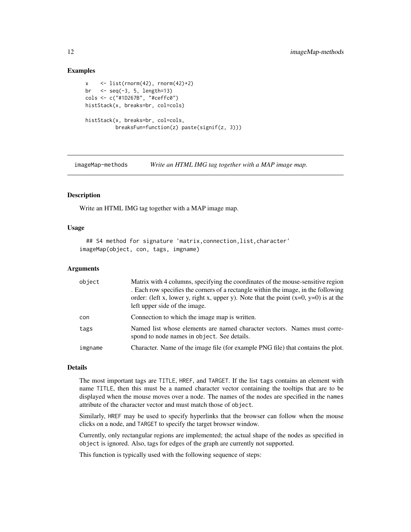## Examples

```
x \leftarrow list(rnorm(42), rnorm(42)+2)
br \leq seq(-3, 5, length=13)cols <- c("#1D267B", "#ceffc0")
histStack(x, breaks=br, col=cols)
histStack(x, breaks=br, col=cols,
          breaksFun=function(z) paste(signif(z, 3)))
```
imageMap-methods *Write an HTML IMG tag together with a MAP image map.*

## <span id="page-11-1"></span>Description

Write an HTML IMG tag together with a MAP image map.

#### Usage

```
## S4 method for signature 'matrix,connection,list,character'
imageMap(object, con, tags, imgname)
```
#### **Arguments**

| object  | Matrix with 4 columns, specifying the coordinates of the mouse-sensitive region<br>. Each row specifies the corners of a rectangle within the image, in the following<br>order: (left x, lower y, right x, upper y). Note that the point $(x=0, y=0)$ is at the<br>left upper side of the image. |
|---------|--------------------------------------------------------------------------------------------------------------------------------------------------------------------------------------------------------------------------------------------------------------------------------------------------|
| con     | Connection to which the image map is written.                                                                                                                                                                                                                                                    |
| tags    | Named list whose elements are named character vectors. Names must corre-<br>spond to node names in object. See details.                                                                                                                                                                          |
| imgname | Character. Name of the image file (for example PNG file) that contains the plot.                                                                                                                                                                                                                 |

## Details

The most important tags are TITLE, HREF, and TARGET. If the list tags contains an element with name TITLE, then this must be a named character vector containing the tooltips that are to be displayed when the mouse moves over a node. The names of the nodes are specified in the names attribute of the character vector and must match those of object.

Similarly, HREF may be used to specify hyperlinks that the browser can follow when the mouse clicks on a node, and TARGET to specify the target browser window.

Currently, only rectangular regions are implemented; the actual shape of the nodes as specified in object is ignored. Also, tags for edges of the graph are currently not supported.

This function is typically used with the following sequence of steps:

<span id="page-11-0"></span>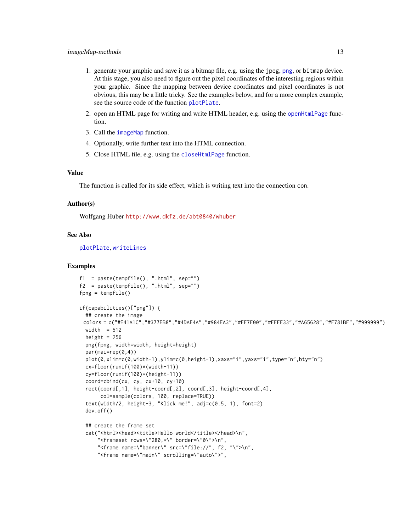- <span id="page-12-0"></span>1. generate your graphic and save it as a bitmap file, e.g. using the jpeg, [png](#page-0-0), or bitmap device. At this stage, you also need to figure out the pixel coordinates of the interesting regions within your graphic. Since the mapping between device coordinates and pixel coordinates is not obvious, this may be a little tricky. See the examples below, and for a more complex example, see the source code of the function [plotPlate](#page-0-0).
- 2. open an HTML page for writing and write HTML header, e.g. using the [openHtmlPage](#page-17-1) function.
- 3. Call the [imageMap](#page-11-1) function.
- 4. Optionally, write further text into the HTML connection.
- 5. Close HTML file, e.g. using the [closeHtmlPage](#page-17-2) function.

#### Value

The function is called for its side effect, which is writing text into the connection con.

#### Author(s)

Wolfgang Huber <http://www.dkfz.de/abt0840/whuber>

#### See Also

[plotPlate](#page-0-0), [writeLines](#page-0-0)

#### Examples

```
f1 = paste(tempfile(), ".html", sep="")f2 = paste(tempfile(), ".html", sep="")fpng = tempfile()
if(capabilities()["png"]) {
 ## create the image
 colors = c("#E41A1C","#377EB8","#4DAF4A","#984EA3","#FF7F00","#FFFF33","#A65628","#F781BF","#999999")
 width = 512height = 256png(fpng, width=width, height=height)
 par(mai=rep(0,4))
 plot(0,xlim=c(0,width-1),ylim=c(0,height-1),xaxs="i",yaxs="i",type="n",bty="n")
 cx=floor(runif(100)*(width-11))
 cy=floor(runif(100)*(height-11))
 coord=cbind(cx, cy, cx+10, cy+10)
 rect(coord[,1], height-coord[,2], coord[,3], height-coord[,4],
      col=sample(colors, 100, replace=TRUE))
 text(width/2, height-3, "Klick me!", adj=c(0.5, 1), font=2)
 dev.off()
  ## create the frame set
 cat("<html><head><title>Hello world</title></head>\n",
      "<frameset rows=\"280, *\" border=\"0\">\n",
      "<frame name=\"banner\" src=\"file://", f2, "\">\n",
      "<frame name=\"main\" scrolling=\"auto\">",
```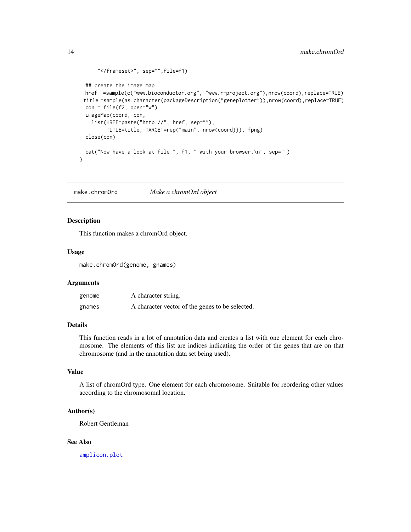```
"</frameset>", sep="",file=f1)
 ## create the image map
 href =sample(c("www.bioconductor.org", "www.r-project.org"),nrow(coord),replace=TRUE)
 title =sample(as.character(packageDescription("geneplotter")),nrow(coord),replace=TRUE)
 con = file(f2, open="w")imageMap(coord, con,
   list(HREF=paste("http://", href, sep=""),
        TITLE=title, TARGET=rep("main", nrow(coord))), fpng)
 close(con)
 cat("Now have a look at file ", f1, " with your browser.\n", sep="")
}
```
<span id="page-13-1"></span>make.chromOrd *Make a chromOrd object*

## Description

This function makes a chromOrd object.

#### Usage

make.chromOrd(genome, gnames)

### Arguments

| genome | A character string.                             |
|--------|-------------------------------------------------|
| gnames | A character vector of the genes to be selected. |

## Details

This function reads in a lot of annotation data and creates a list with one element for each chromosome. The elements of this list are indices indicating the order of the genes that are on that chromosome (and in the annotation data set being used).

#### Value

A list of chromOrd type. One element for each chromosome. Suitable for reordering other values according to the chromosomal location.

## Author(s)

Robert Gentleman

## See Also

[amplicon.plot](#page-3-1)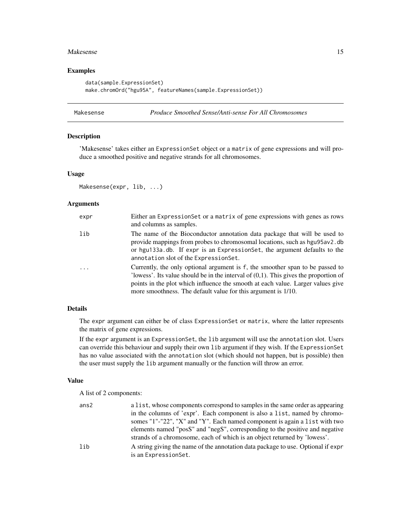#### <span id="page-14-0"></span>Makesense 15

## Examples

```
data(sample.ExpressionSet)
make.chromOrd("hgu95A", featureNames(sample.ExpressionSet))
```
## <span id="page-14-1"></span>Makesense *Produce Smoothed Sense/Anti-sense For All Chromosomes*

## Description

'Makesense' takes either an ExpressionSet object or a matrix of gene expressions and will produce a smoothed positive and negative strands for all chromosomes.

## Usage

```
Makesense(expr, lib, ...)
```
## Arguments

| expr     | Either an Expression Set or a matrix of gene expressions with genes as rows<br>and columns as samples.                                                                                                                                                                                                                       |
|----------|------------------------------------------------------------------------------------------------------------------------------------------------------------------------------------------------------------------------------------------------------------------------------------------------------------------------------|
| lib      | The name of the Bioconductor annotation data package that will be used to<br>provide mappings from probes to chromosomal locations, such as hgu95av2.db<br>or hgu133a.db. If expr is an ExpressionSet, the argument defaults to the<br>annotation slot of the ExpressionSet.                                                 |
| $\ddots$ | Currently, the only optional argument is f, the smoother span to be passed to<br>'lowess'. Its value should be in the interval of $(0,1)$ . This gives the proportion of<br>points in the plot which influence the smooth at each value. Larger values give<br>more smoothness. The default value for this argument is 1/10. |

#### Details

The expr argument can either be of class ExpressionSet or matrix, where the latter represents the matrix of gene expressions.

If the expr argument is an ExpressionSet, the lib argument will use the annotation slot. Users can override this behaviour and supply their own lib argument if they wish. If the ExpressionSet has no value associated with the annotation slot (which should not happen, but is possible) then the user must supply the lib argument manually or the function will throw an error.

#### Value

A list of 2 components:

| ans2 | a list, whose components correspond to samples in the same order as appearing    |
|------|----------------------------------------------------------------------------------|
|      | in the columns of 'expr'. Each component is also a list, named by chromo-        |
|      | somes "1"-"22", "X" and "Y". Each named component is again a list with two       |
|      | elements named "posS" and "negS", corresponding to the positive and negative     |
|      | strands of a chromosome, each of which is an object returned by 'lowess'.        |
|      | A string giving the name of the annotation data package to use. Optional if expr |
|      | is an ExpressionSet.                                                             |
|      |                                                                                  |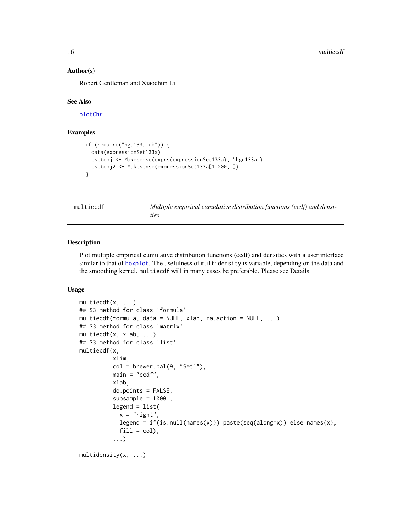#### Author(s)

Robert Gentleman and Xiaochun Li

#### See Also

[plotChr](#page-18-1)

## Examples

```
if (require("hgu133a.db")) {
  data(expressionSet133a)
  esetobj <- Makesense(exprs(expressionSet133a), "hgu133a")
  esetobj2 <- Makesense(expressionSet133a[1:200, ])
}
```
multiecdf *Multiple empirical cumulative distribution functions (ecdf) and densities*

#### Description

Plot multiple empirical cumulative distribution functions (ecdf) and densities with a user interface similar to that of [boxplot](#page-0-0). The usefulness of multidensity is variable, depending on the data and the smoothing kernel. multiecdf will in many cases be preferable. Please see Details.

## Usage

```
multiecdf(x, ...)
## S3 method for class 'formula'
multiecdf(formula, data = NULL, xlab, na.action = NULL, ...)
## S3 method for class 'matrix'
multiecdf(x, xlab, ...)
## S3 method for class 'list'
multiecdf(x,
          xlim,
          col = brewer.pal(9, 'Set1''),
          main = "ecdf",
          xlab,
          do.points = FALSE,
          subsample = 1000L,
          legend = list(x = "right".legend = if(is.null(name(x))) paste(seq(along=x)) else names(x),
            fill = col,
          ...)
multidensity(x, ...)
```
<span id="page-15-0"></span>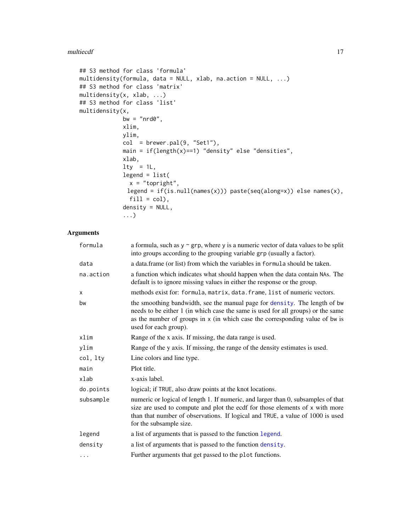#### <span id="page-16-0"></span>multiecdf and the contract of the contract of the contract of the contract of the contract of the contract of the contract of the contract of the contract of the contract of the contract of the contract of the contract of

```
## S3 method for class 'formula'
multidensity(formula, data = NULL, xlab, na.action = NULL, ...)
## S3 method for class 'matrix'
multidensity(x, xlab, ...)
## S3 method for class 'list'
multidensity(x,
            bw = "nrd0",xlim,
            ylim,
            col = brewer.pal(9, "Set1"),
            main = if(length(x)==1) "density" else "densities",
            xlab,
            lty = 1L,legend = list(x = "topright",legend = if(is.null(names(x))) paste(seq(along=x)) else names(x),
              fill = col,
            density = NULL,
             ...)
```
## Arguments

| formula   | a formula, such as $y \sim grp$ , where y is a numeric vector of data values to be split<br>into groups according to the grouping variable grp (usually a factor).                                                                                                             |
|-----------|--------------------------------------------------------------------------------------------------------------------------------------------------------------------------------------------------------------------------------------------------------------------------------|
| data      | a data.frame (or list) from which the variables in formula should be taken.                                                                                                                                                                                                    |
| na.action | a function which indicates what should happen when the data contain NAs. The<br>default is to ignore missing values in either the response or the group.                                                                                                                       |
| X         | methods exist for: formula, matrix, data. frame, list of numeric vectors.                                                                                                                                                                                                      |
| bw        | the smoothing bandwidth, see the manual page for density. The length of bw<br>needs to be either 1 (in which case the same is used for all groups) or the same<br>as the number of groups in x (in which case the corresponding value of bw is<br>used for each group).        |
| xlim      | Range of the x axis. If missing, the data range is used.                                                                                                                                                                                                                       |
| ylim      | Range of the y axis. If missing, the range of the density estimates is used.                                                                                                                                                                                                   |
| col, lty  | Line colors and line type.                                                                                                                                                                                                                                                     |
| main      | Plot title.                                                                                                                                                                                                                                                                    |
| xlab      | x-axis label.                                                                                                                                                                                                                                                                  |
| do.points | logical; if TRUE, also draw points at the knot locations.                                                                                                                                                                                                                      |
| subsample | numeric or logical of length 1. If numeric, and larger than 0, subsamples of that<br>size are used to compute and plot the ecdf for those elements of x with more<br>than that number of observations. If logical and TRUE, a value of 1000 is used<br>for the subsample size. |
| legend    | a list of arguments that is passed to the function legend.                                                                                                                                                                                                                     |
| density   | a list of arguments that is passed to the function density.                                                                                                                                                                                                                    |
| $\cdots$  | Further arguments that get passed to the plot functions.                                                                                                                                                                                                                       |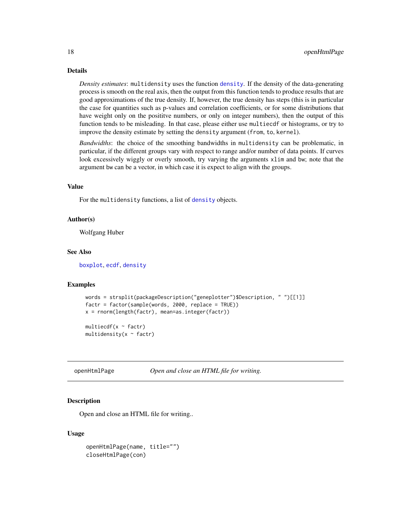## Details

*Density estimates*: multidensity uses the function [density](#page-0-0). If the density of the data-generating process is smooth on the real axis, then the output from this function tends to produce results that are good approximations of the true density. If, however, the true density has steps (this is in particular the case for quantities such as p-values and correlation coefficients, or for some distributions that have weight only on the posititve numbers, or only on integer numbers), then the output of this function tends to be misleading. In that case, please either use multiecdf or histograms, or try to improve the density estimate by setting the density argument (from, to, kernel).

*Bandwidths*: the choice of the smoothing bandwidths in multidensity can be problematic, in particular, if the different groups vary with respect to range and/or number of data points. If curves look excessively wiggly or overly smooth, try varying the arguments xlim and bw; note that the argument bw can be a vector, in which case it is expect to align with the groups.

#### Value

For the multidensity functions, a list of [density](#page-0-0) objects.

#### Author(s)

Wolfgang Huber

#### See Also

[boxplot](#page-0-0), [ecdf](#page-0-0), [density](#page-0-0)

#### Examples

```
words = strsplit(packageDescription("geneplotter")$Description, " ")[[1]]
factr = factor(sample(words, 2000, replace = TRUE))
x = rnorm(length(factr), mean=as.integer(factr))
multiecdf(x \sim factr)
```
multidensity( $x \sim$  factr)

<span id="page-17-1"></span>openHtmlPage *Open and close an HTML file for writing.*

#### <span id="page-17-2"></span>**Description**

Open and close an HTML file for writing..

#### Usage

```
openHtmlPage(name, title="")
closeHtmlPage(con)
```
<span id="page-17-0"></span>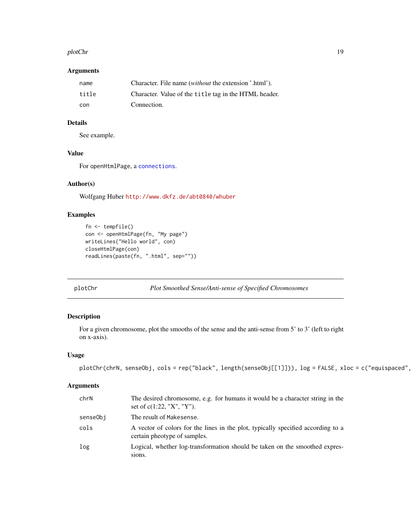#### <span id="page-18-0"></span>plotChr and the state of the state of the state of the state of the state of the state of the state of the state of the state of the state of the state of the state of the state of the state of the state of the state of th

## Arguments

| name  | Character. File name <i>(without</i> the extension '.html'). |
|-------|--------------------------------------------------------------|
| title | Character. Value of the title tag in the HTML header.        |
| con   | Connection.                                                  |

## Details

See example.

## Value

For openHtmlPage, a [connections](#page-0-0).

## Author(s)

Wolfgang Huber <http://www.dkfz.de/abt0840/whuber>

## Examples

```
fn <- tempfile()
con <- openHtmlPage(fn, "My page")
writeLines("Hello world", con)
closeHtmlPage(con)
readLines(paste(fn, ".html", sep=""))
```

```
plotChr Plot Smoothed Sense/Anti-sense of Specified Chromosomes
```
## Description

For a given chromosome, plot the smooths of the sense and the anti-sense from 5' to 3' (left to right on x-axis).

## Usage

```
plotChr(chrN, senseObj, cols = rep("black", length(senseObj[[1]])), log = FALSE, xloc = c("equispaced",
```
## Arguments

| chrN     | The desired chromosome, e.g. for humans it would be a character string in the<br>set of $c(1:22, "X", "Y").$     |
|----------|------------------------------------------------------------------------------------------------------------------|
| senseObj | The result of Makesense.                                                                                         |
| cols     | A vector of colors for the lines in the plot, typically specified according to a<br>certain pheotype of samples. |
| log      | Logical, whether log-transformation should be taken on the smoothed expres-<br>sions.                            |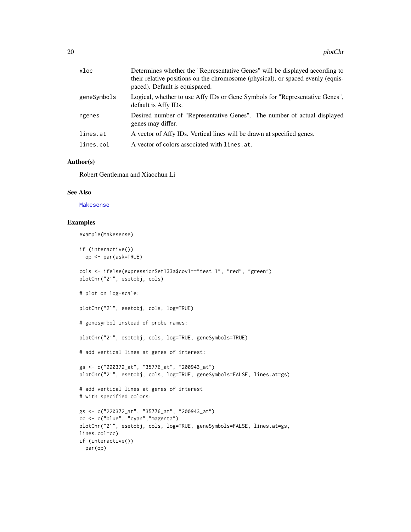<span id="page-19-0"></span>

| xloc        | Determines whether the "Representative Genes" will be displayed according to<br>their relative positions on the chromosome (physical), or spaced evenly (equis-<br>paced). Default is equispaced. |
|-------------|---------------------------------------------------------------------------------------------------------------------------------------------------------------------------------------------------|
| geneSymbols | Logical, whether to use Affy IDs or Gene Symbols for "Representative Genes",<br>default is Affy IDs.                                                                                              |
| ngenes      | Desired number of "Representative Genes". The number of actual displayed<br>genes may differ.                                                                                                     |
| lines.at    | A vector of Affy IDs. Vertical lines will be drawn at specified genes.                                                                                                                            |
| lines.col   | A vector of colors associated with lines. at.                                                                                                                                                     |
|             |                                                                                                                                                                                                   |

## Author(s)

Robert Gentleman and Xiaochun Li

## See Also

[Makesense](#page-14-1)

## Examples

example(Makesense)

```
if (interactive())
 op <- par(ask=TRUE)
```

```
cols <- ifelse(expressionSet133a$cov1=="test 1", "red", "green")
plotChr("21", esetobj, cols)
```

```
# plot on log-scale:
```

```
plotChr("21", esetobj, cols, log=TRUE)
```

```
# genesymbol instead of probe names:
```
plotChr("21", esetobj, cols, log=TRUE, geneSymbols=TRUE)

```
# add vertical lines at genes of interest:
```

```
gs <- c("220372_at", "35776_at", "200943_at")
plotChr("21", esetobj, cols, log=TRUE, geneSymbols=FALSE, lines.at=gs)
```

```
# add vertical lines at genes of interest
# with specified colors:
gs <- c("220372_at", "35776_at", "200943_at")
```

```
cc <- c("blue", "cyan","magenta")
plotChr("21", esetobj, cols, log=TRUE, geneSymbols=FALSE, lines.at=gs,
lines.col=cc)
if (interactive())
 par(op)
```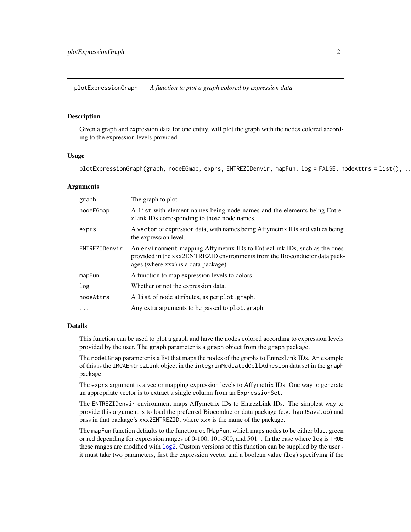<span id="page-20-0"></span>plotExpressionGraph *A function to plot a graph colored by expression data*

#### Description

Given a graph and expression data for one entity, will plot the graph with the nodes colored according to the expression levels provided.

## Usage

plotExpressionGraph(graph, nodeEGmap, exprs, ENTREZIDenvir, mapFun, log = FALSE, nodeAttrs = list(), ..

## Arguments

| graph         | The graph to plot                                                                                                                                                                               |
|---------------|-------------------------------------------------------------------------------------------------------------------------------------------------------------------------------------------------|
| nodeEGmap     | A list with element names being node names and the elements being Entre-<br>zLink IDs corresponding to those node names.                                                                        |
| exprs         | A vector of expression data, with names being Affymetrix IDs and values being<br>the expression level.                                                                                          |
| ENTREZIDenvir | An environment mapping Affymetrix IDs to EntrezLink IDs, such as the ones<br>provided in the xxx2ENTREZID environments from the Bioconductor data pack-<br>ages (where xxx) is a data package). |
| mapFun        | A function to map expression levels to colors.                                                                                                                                                  |
| log           | Whether or not the expression data.                                                                                                                                                             |
| nodeAttrs     | A list of node attributes, as per plot.graph.                                                                                                                                                   |
| $\ddotsc$     | Any extra arguments to be passed to plot.graph.                                                                                                                                                 |

#### Details

This function can be used to plot a graph and have the nodes colored according to expression levels provided by the user. The graph parameter is a graph object from the graph package.

The nodeEGmap parameter is a list that maps the nodes of the graphs to EntrezLink IDs. An example of this is the IMCAEntrezLink object in the integrinMediatedCellAdhesion data set in the graph package.

The exprs argument is a vector mapping expression levels to Affymetrix IDs. One way to generate an appropriate vector is to extract a single column from an ExpressionSet.

The ENTREZIDenvir environment maps Affymetrix IDs to EntrezLink IDs. The simplest way to provide this argument is to load the preferred Bioconductor data package (e.g. hgu95av2.db) and pass in that package's xxx2ENTREZID, where xxx is the name of the package.

The mapFun function defaults to the function defMapFun, which maps nodes to be either blue, green or red depending for expression ranges of 0-100, 101-500, and 501+. In the case where log is TRUE these ranges are modified with [log2](#page-0-0). Custom versions of this function can be supplied by the user it must take two parameters, first the expression vector and a boolean value (log) specifying if the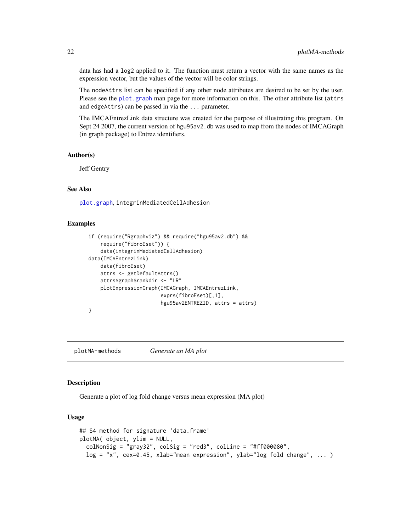data has had a log2 applied to it. The function must return a vector with the same names as the expression vector, but the values of the vector will be color strings.

The nodeAttrs list can be specified if any other node attributes are desired to be set by the user. Please see the [plot.graph](#page-0-0) man page for more information on this. The other attribute list (attrs and edgeAttrs) can be passed in via the ... parameter.

The IMCAEntrezLink data structure was created for the purpose of illustrating this program. On Sept 24 2007, the current version of hgu95av2.db was used to map from the nodes of IMCAGraph (in graph package) to Entrez identifiers.

## Author(s)

Jeff Gentry

## See Also

[plot.graph](#page-0-0), integrinMediatedCellAdhesion

#### Examples

```
if (require("Rgraphviz") && require("hgu95av2.db") &&
    require("fibroEset")) {
    data(integrinMediatedCellAdhesion)
data(IMCAEntrezLink)
    data(fibroEset)
    attrs <- getDefaultAttrs()
    attrs$graph$rankdir <- "LR"
    plotExpressionGraph(IMCAGraph, IMCAEntrezLink,
                        exprs(fibroEset)[,1],
                        hgu95av2ENTREZID, attrs = attrs)
}
```
plotMA-methods *Generate an MA plot*

### Description

Generate a plot of log fold change versus mean expression (MA plot)

## Usage

```
## S4 method for signature 'data.frame'
plotMA( object, ylim = NULL,
  colNonSig = "gray32", colSig = "red3", colLine = "#ff000080",log = "x", cex=0.45, xlab="mean expression", ylab="log follow 10g = "x", ... )
```
<span id="page-21-0"></span>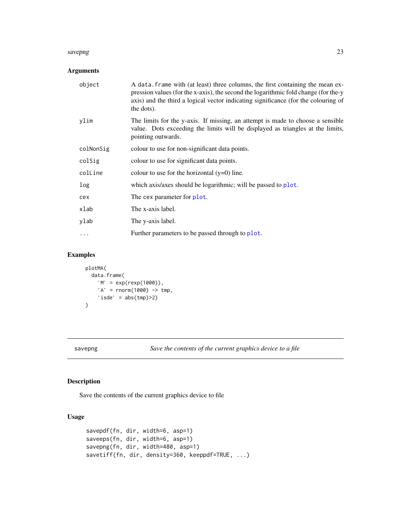#### <span id="page-22-0"></span>savepng 23

## Arguments

| object    | A data frame with (at least) three columns, the first containing the mean ex-<br>pression values (for the x-axis), the second the logarithmic fold change (for the-y<br>axis) and the third a logical vector indicating significance (for the colouring of<br>the dots). |
|-----------|--------------------------------------------------------------------------------------------------------------------------------------------------------------------------------------------------------------------------------------------------------------------------|
| ylim      | The limits for the y-axis. If missing, an attempt is made to choose a sensible<br>value. Dots exceeding the limits will be displayed as triangles at the limits,<br>pointing outwards.                                                                                   |
| colNonSig | colour to use for non-significant data points.                                                                                                                                                                                                                           |
| colSig    | colour to use for significant data points.                                                                                                                                                                                                                               |
| colline   | colour to use for the horizontal $(y=0)$ line.                                                                                                                                                                                                                           |
| log       | which axis/axes should be logarithmic; will be passed to plot.                                                                                                                                                                                                           |
| cex       | The cex parameter for plot.                                                                                                                                                                                                                                              |
| xlab      | The x-axis label.                                                                                                                                                                                                                                                        |
| ylab      | The y-axis label.                                                                                                                                                                                                                                                        |
| $\ddots$  | Further parameters to be passed through to plot.                                                                                                                                                                                                                         |
|           |                                                                                                                                                                                                                                                                          |

## Examples

```
plotMA(
`data.frame(
`A(<br>a.frame(<br>M` = exp(rexp(1000)),
             A(<br>a.frame(<br>M` = exp(rexp(1000)),<br>A` = rnorm(1000) -> tmp,
             a.frame(<br>M` = exp(rexp(1000)<br>A` = rnorm(1000) -><br>isde` = abs(tmp)>2)
)
```
savepng *Save the contents of the current graphics device to a file*

## Description

Save the contents of the current graphics device to file

## Usage

```
savepdf(fn, dir, width=6, asp=1)
saveeps(fn, dir, width=6, asp=1)
savepng(fn, dir, width=480, asp=1)
savetiff(fn, dir, density=360, keeppdf=TRUE, ...)
```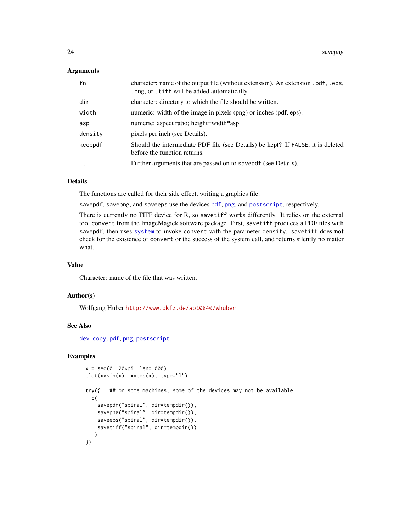#### <span id="page-23-0"></span>**Arguments**

| fn         | character: name of the output file (without extension). An extension .pdf, .eps,<br>.png, or . tiff will be added automatically. |
|------------|----------------------------------------------------------------------------------------------------------------------------------|
| dir        | character: directory to which the file should be written.                                                                        |
| width      | numeric: width of the image in pixels (png) or inches (pdf, eps).                                                                |
| asp        | numeric: aspect ratio; height=width*asp.                                                                                         |
| density    | pixels per inch (see Details).                                                                                                   |
| keeppdf    | Should the intermediate PDF file (see Details) be kept? If FALSE, it is deleted<br>before the function returns.                  |
| $\ddots$ . | Further arguments that are passed on to savepdf (see Details).                                                                   |

## Details

The functions are called for their side effect, writing a graphics file.

savepdf, savepng, and saveeps use the devices [pdf](#page-0-0), [png](#page-0-0), and [postscript](#page-0-0), respectively.

There is currently no TIFF device for R, so savetiff works differently. It relies on the external tool convert from the ImageMagick software package. First, savetiff produces a PDF files with savepdf, then uses [system](#page-0-0) to invoke convert with the parameter density. savetiff does not check for the existence of convert or the success of the system call, and returns silently no matter what.

## Value

Character: name of the file that was written.

## Author(s)

Wolfgang Huber <http://www.dkfz.de/abt0840/whuber>

#### See Also

[dev.copy](#page-0-0), [pdf](#page-0-0), [png](#page-0-0), [postscript](#page-0-0)

#### Examples

```
x = seq(0, 20*pi, len=1000)plot(x*sin(x), x*cos(x), type="l")
try({ ## on some machines, some of the devices may not be available
 c(
    savepdf("spiral", dir=tempdir()),
    savepng("spiral", dir=tempdir()),
    saveeps("spiral", dir=tempdir()),
    savetiff("spiral", dir=tempdir())
   )
})
```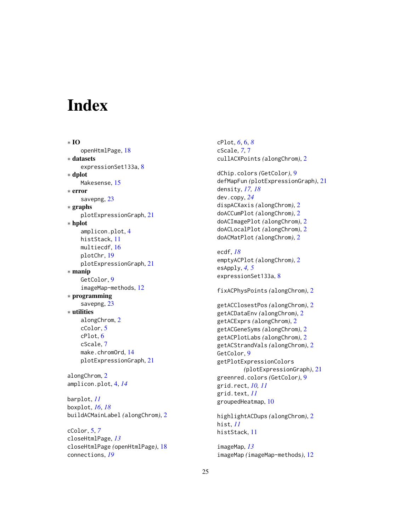# <span id="page-24-0"></span>Index

∗ IO openHtmlPage, [18](#page-17-0) ∗ datasets expressionSet133a, [8](#page-7-0) ∗ dplot Makesense, [15](#page-14-0) ∗ error savepng, [23](#page-22-0) ∗ graphs plotExpressionGraph, [21](#page-20-0) ∗ hplot amplicon.plot, [4](#page-3-0) histStack, [11](#page-10-0) multiecdf, [16](#page-15-0) plotChr, [19](#page-18-0) plotExpressionGraph, [21](#page-20-0) ∗ manip GetColor, [9](#page-8-0) imageMap-methods, [12](#page-11-0) ∗ programming savepng, [23](#page-22-0) ∗ utilities alongChrom, [2](#page-1-0) cColor, [5](#page-4-0) cPlot, [6](#page-5-0) cScale, [7](#page-6-0) make.chromOrd, [14](#page-13-0) plotExpressionGraph, [21](#page-20-0) alongChrom, [2](#page-1-0) amplicon.plot, [4,](#page-3-0) *[14](#page-13-0)* barplot, *[11](#page-10-0)* boxplot, *[16](#page-15-0)*, *[18](#page-17-0)* buildACMainLabel *(*alongChrom*)*, [2](#page-1-0)

cColor, [5,](#page-4-0) *[7](#page-6-0)* closeHtmlPage, *[13](#page-12-0)* closeHtmlPage *(*openHtmlPage*)*, [18](#page-17-0) connections, *[19](#page-18-0)*

cPlot, *[6](#page-5-0)*, [6,](#page-5-0) *[8](#page-7-0)* cScale, *[7](#page-6-0)*, [7](#page-6-0) cullACXPoints *(*alongChrom*)*, [2](#page-1-0)

dChip.colors *(*GetColor*)*, [9](#page-8-0) defMapFun *(*plotExpressionGraph*)*, [21](#page-20-0) density, *[17,](#page-16-0) [18](#page-17-0)* dev.copy, *[24](#page-23-0)* dispACXaxis *(*alongChrom*)*, [2](#page-1-0) doACCumPlot *(*alongChrom*)*, [2](#page-1-0) doACImagePlot *(*alongChrom*)*, [2](#page-1-0) doACLocalPlot *(*alongChrom*)*, [2](#page-1-0) doACMatPlot *(*alongChrom*)*, [2](#page-1-0)

ecdf, *[18](#page-17-0)* emptyACPlot *(*alongChrom*)*, [2](#page-1-0) esApply, *[4,](#page-3-0) [5](#page-4-0)* expressionSet133a, [8](#page-7-0)

fixACPhysPoints *(*alongChrom*)*, [2](#page-1-0)

getACClosestPos *(*alongChrom*)*, [2](#page-1-0) getACDataEnv *(*alongChrom*)*, [2](#page-1-0) getACExprs *(*alongChrom*)*, [2](#page-1-0) getACGeneSyms *(*alongChrom*)*, [2](#page-1-0) getACPlotLabs *(*alongChrom*)*, [2](#page-1-0) getACStrandVals *(*alongChrom*)*, [2](#page-1-0) GetColor, [9](#page-8-0) getPlotExpressionColors *(*plotExpressionGraph*)*, [21](#page-20-0) greenred.colors *(*GetColor*)*, [9](#page-8-0) grid.rect, *[10,](#page-9-0) [11](#page-10-0)* grid.text, *[11](#page-10-0)* groupedHeatmap, [10](#page-9-0)

highlightACDups *(*alongChrom*)*, [2](#page-1-0) hist, *[11](#page-10-0)* histStack, [11](#page-10-0)

imageMap, *[13](#page-12-0)* imageMap *(*imageMap-methods*)*, [12](#page-11-0)